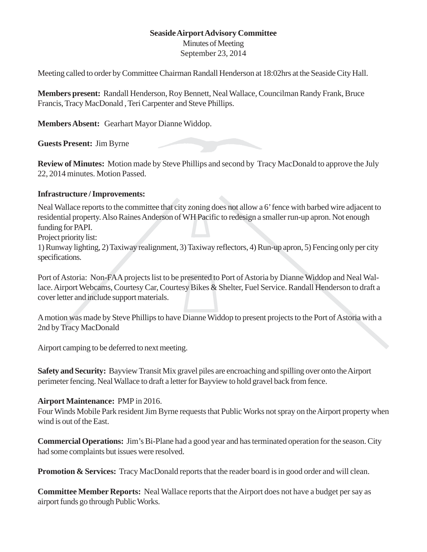## **Seaside Airport Advisory Committee**

Minutes of Meeting

September 23, 2014

Meeting called to order by Committee Chairman Randall Henderson at 18:02hrs at the Seaside City Hall.

**Members present:** Randall Henderson, Roy Bennett, Neal Wallace, Councilman Randy Frank, Bruce Francis, Tracy MacDonald , Teri Carpenter and Steve Phillips.

**Members Absent:** Gearhart Mayor Dianne Widdop.

**Guests Present:** Jim Byrne

**Review of Minutes:** Motion made by Steve Phillips and second by Tracy MacDonald to approve the July 22, 2014 minutes. Motion Passed.

## **Infrastructure / Improvements:**

Neal Wallace reports to the committee that city zoning does not allow a 6' fence with barbed wire adjacent to residential property. Also Raines Anderson of WH Pacific to redesign a smaller run-up apron. Not enough funding for PAPI.

Project priority list:

1) Runway lighting, 2) Taxiway realignment, 3) Taxiway reflectors, 4) Run-up apron, 5) Fencing only per city specifications.

Port of Astoria: Non-FAA projects list to be presented to Port of Astoria by Dianne Widdop and Neal Wallace. Airport Webcams, Courtesy Car, Courtesy Bikes & Shelter, Fuel Service. Randall Henderson to draft a cover letter and include support materials.

A motion was made by Steve Phillips to have Dianne Widdop to present projects to the Port of Astoria with a 2nd by Tracy MacDonald

Airport camping to be deferred to next meeting.

**Safety and Security:** Bayview Transit Mix gravel piles are encroaching and spilling over onto the Airport perimeter fencing. Neal Wallace to draft a letter for Bayview to hold gravel back from fence.

## **Airport Maintenance:** PMP in 2016.

Four Winds Mobile Park resident Jim Byrne requests that Public Works not spray on the Airport property when wind is out of the East.

**Commercial Operations:** Jim's Bi-Plane had a good year and has terminated operation for the season. City had some complaints but issues were resolved.

**Promotion & Services:** Tracy MacDonald reports that the reader board is in good order and will clean.

**Committee Member Reports:** Neal Wallace reports that the Airport does not have a budget per say as airport funds go through Public Works.